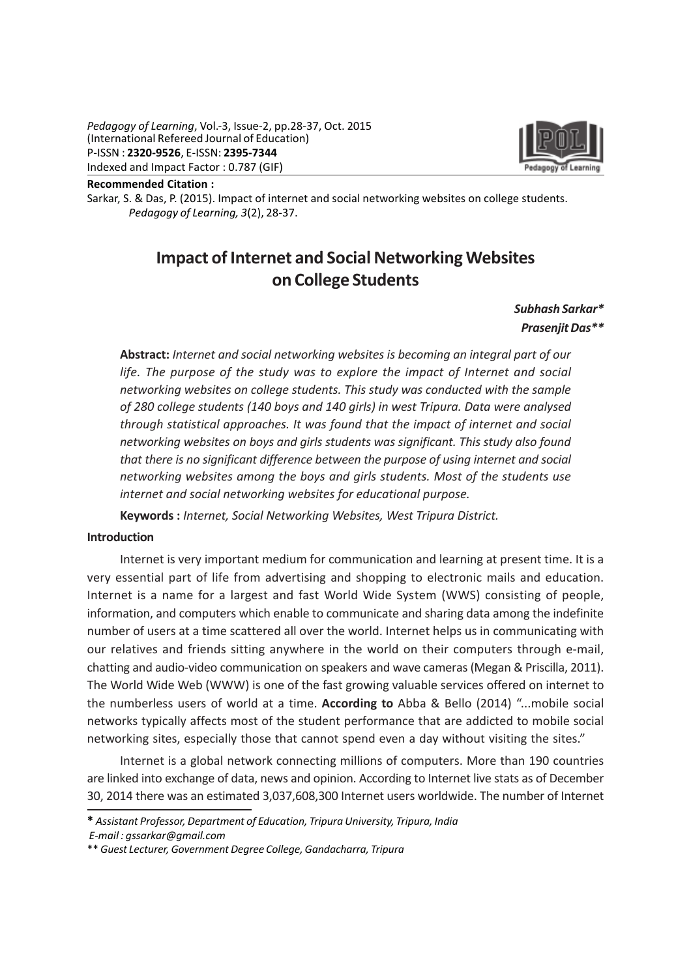

Recommended Citation :

Sarkar, S. & Das, P. (2015). Impact of internet and social networking websites on college students. Pedagogy of Learning, 3(2), 28-37.

# Impact of Internet and Social Networking Websites on College Students

# Subhash Sarkar\* Prasenjit Das\*\*

Abstract: Internet and social networking websites is becoming an integral part of our life. The purpose of the study was to explore the impact of Internet and social networking websites on college students. This study was conducted with the sample of 280 college students (140 boys and 140 girls) in west Tripura. Data were analysed through statistical approaches. It was found that the impact of internet and social networking websites on boys and girls students was significant. This study also found that there is no significant difference between the purpose of using internet and social networking websites among the boys and girls students. Most of the students use internet and social networking websites for educational purpose.

Keywords : Internet, Social Networking Websites, West Tripura District.

## Introduction

Internet is very important medium for communication and learning at present time. It is a very essential part of life from advertising and shopping to electronic mails and education. Internet is a name for a largest and fast World Wide System (WWS) consisting of people, information, and computers which enable to communicate and sharing data among the indefinite number of users at a time scattered all over the world. Internet helps us in communicating with our relatives and friends sitting anywhere in the world on their computers through e-mail, chatting and audio-video communication on speakers and wave cameras (Megan & Priscilla, 2011). The World Wide Web (WWW) is one of the fast growing valuable services offered on internet to the numberless users of world at a time. According to Abba & Bello (2014) "...mobile social networks typically affects most of the student performance that are addicted to mobile social networking sites, especially those that cannot spend even a day without visiting the sites."

Internet is a global network connecting millions of computers. More than 190 countries are linked into exchange of data, news and opinion. According to Internet live stats as of December 30, 2014 there was an estimated 3,037,608,300 Internet users worldwide. The number of Internet

<sup>\*</sup> Assistant Professor, Department of Education, Tripura University, Tripura, India E-mail : gssarkar@gmail.com

<sup>\*\*</sup> Guest Lecturer, Government Degree College, Gandacharra, Tripura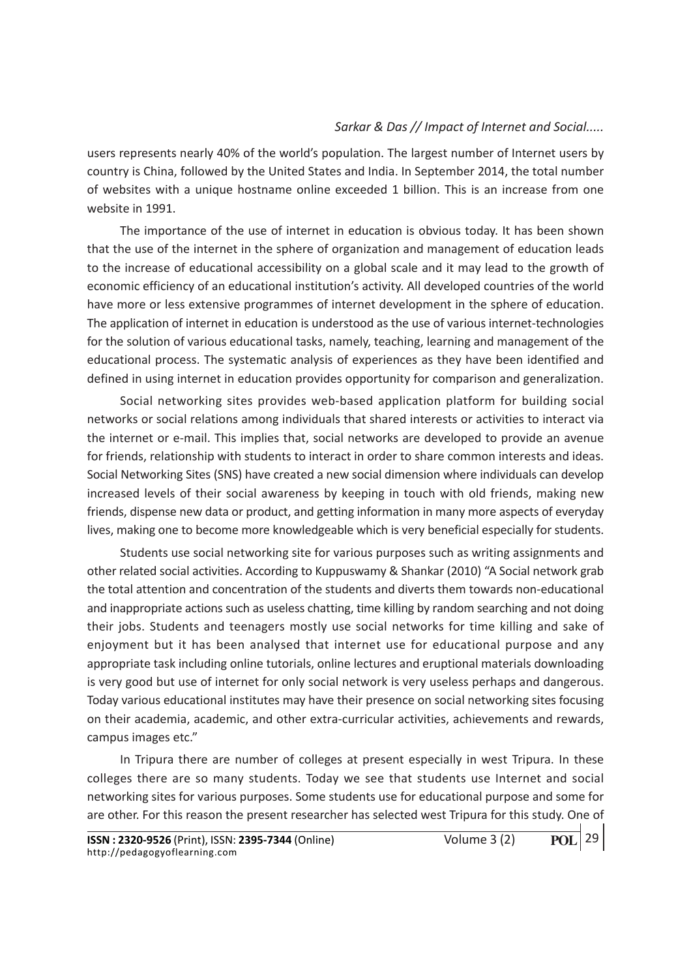users represents nearly 40% of the world's population. The largest number of Internet users by country is China, followed by the United States and India. In September 2014, the total number of websites with a unique hostname online exceeded 1 billion. This is an increase from one website in 1991.

The importance of the use of internet in education is obvious today. It has been shown that the use of the internet in the sphere of organization and management of education leads to the increase of educational accessibility on a global scale and it may lead to the growth of economic efficiency of an educational institution's activity. All developed countries of the world have more or less extensive programmes of internet development in the sphere of education. The application of internet in education is understood as the use of various internet-technologies for the solution of various educational tasks, namely, teaching, learning and management of the educational process. The systematic analysis of experiences as they have been identified and defined in using internet in education provides opportunity for comparison and generalization.

Social networking sites provides web-based application platform for building social networks or social relations among individuals that shared interests or activities to interact via the internet or e-mail. This implies that, social networks are developed to provide an avenue for friends, relationship with students to interact in order to share common interests and ideas. Social Networking Sites (SNS) have created a new social dimension where individuals can develop increased levels of their social awareness by keeping in touch with old friends, making new friends, dispense new data or product, and getting information in many more aspects of everyday lives, making one to become more knowledgeable which is very beneficial especially for students.

Students use social networking site for various purposes such as writing assignments and other related social activities. According to Kuppuswamy & Shankar (2010) "A Social network grab the total attention and concentration of the students and diverts them towards non-educational and inappropriate actions such as useless chatting, time killing by random searching and not doing their jobs. Students and teenagers mostly use social networks for time killing and sake of enjoyment but it has been analysed that internet use for educational purpose and any appropriate task including online tutorials, online lectures and eruptional materials downloading is very good but use of internet for only social network is very useless perhaps and dangerous. Today various educational institutes may have their presence on social networking sites focusing on their academia, academic, and other extra-curricular activities, achievements and rewards, campus images etc."

In Tripura there are number of colleges at present especially in west Tripura. In these colleges there are so many students. Today we see that students use Internet and social networking sites for various purposes. Some students use for educational purpose and some for are other. For this reason the present researcher has selected west Tripura for this study. One of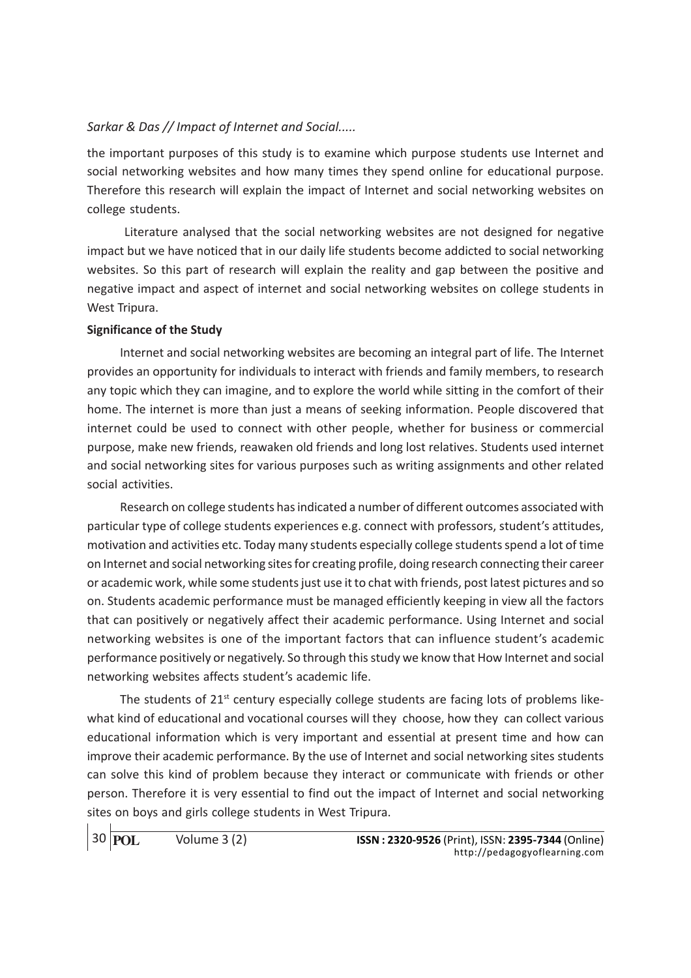the important purposes of this study is to examine which purpose students use Internet and social networking websites and how many times they spend online for educational purpose. Therefore this research will explain the impact of Internet and social networking websites on college students.

 Literature analysed that the social networking websites are not designed for negative impact but we have noticed that in our daily life students become addicted to social networking websites. So this part of research will explain the reality and gap between the positive and negative impact and aspect of internet and social networking websites on college students in West Tripura.

## Significance of the Study

Internet and social networking websites are becoming an integral part of life. The Internet provides an opportunity for individuals to interact with friends and family members, to research any topic which they can imagine, and to explore the world while sitting in the comfort of their home. The internet is more than just a means of seeking information. People discovered that internet could be used to connect with other people, whether for business or commercial purpose, make new friends, reawaken old friends and long lost relatives. Students used internet and social networking sites for various purposes such as writing assignments and other related social activities.

Research on college students has indicated a number of different outcomes associated with particular type of college students experiences e.g. connect with professors, student's attitudes, motivation and activities etc. Today many students especially college students spend a lot of time on Internet and social networking sites for creating profile, doing research connecting their career or academic work, while some students just use it to chat with friends, post latest pictures and so on. Students academic performance must be managed efficiently keeping in view all the factors that can positively or negatively affect their academic performance. Using Internet and social networking websites is one of the important factors that can influence student's academic performance positively or negatively. So through this study we know that How Internet and social networking websites affects student's academic life.

The students of  $21<sup>st</sup>$  century especially college students are facing lots of problems likewhat kind of educational and vocational courses will they choose, how they can collect various educational information which is very important and essential at present time and how can improve their academic performance. By the use of Internet and social networking sites students can solve this kind of problem because they interact or communicate with friends or other person. Therefore it is very essential to find out the impact of Internet and social networking sites on boys and girls college students in West Tripura.

30 **POL**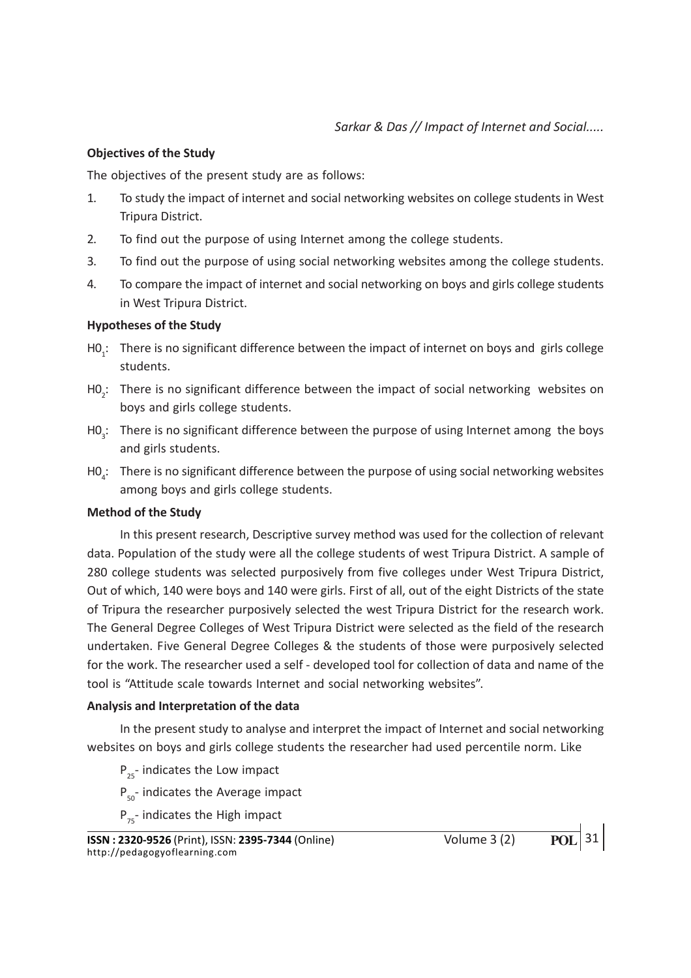#### Objectives of the Study

The objectives of the present study are as follows:

- 1. To study the impact of internet and social networking websites on college students in West Tripura District.
- 2. To find out the purpose of using Internet among the college students.
- 3. To find out the purpose of using social networking websites among the college students.
- 4. To compare the impact of internet and social networking on boys and girls college students in West Tripura District.

#### Hypotheses of the Study

- HO<sub>1</sub>: There is no significant difference between the impact of internet on boys and girls college students.
- $HO<sub>2</sub>$ : There is no significant difference between the impact of social networking websites on boys and girls college students.
- $HO<sub>3</sub>$ : There is no significant difference between the purpose of using Internet among the boys and girls students.
- $HO<sub>4</sub>$ : There is no significant difference between the purpose of using social networking websites among boys and girls college students.

## Method of the Study

In this present research, Descriptive survey method was used for the collection of relevant data. Population of the study were all the college students of west Tripura District. A sample of 280 college students was selected purposively from five colleges under West Tripura District, Out of which, 140 were boys and 140 were girls. First of all, out of the eight Districts of the state of Tripura the researcher purposively selected the west Tripura District for the research work. The General Degree Colleges of West Tripura District were selected as the field of the research undertaken. Five General Degree Colleges & the students of those were purposively selected for the work. The researcher used a self - developed tool for collection of data and name of the tool is "Attitude scale towards Internet and social networking websites".

## Analysis and Interpretation of the data

In the present study to analyse and interpret the impact of Internet and social networking websites on boys and girls college students the researcher had used percentile norm. Like

 $P_{25}$ - indicates the Low impact

- $P_{50}$  indicates the Average impact
- $P_{75}$  indicates the High impact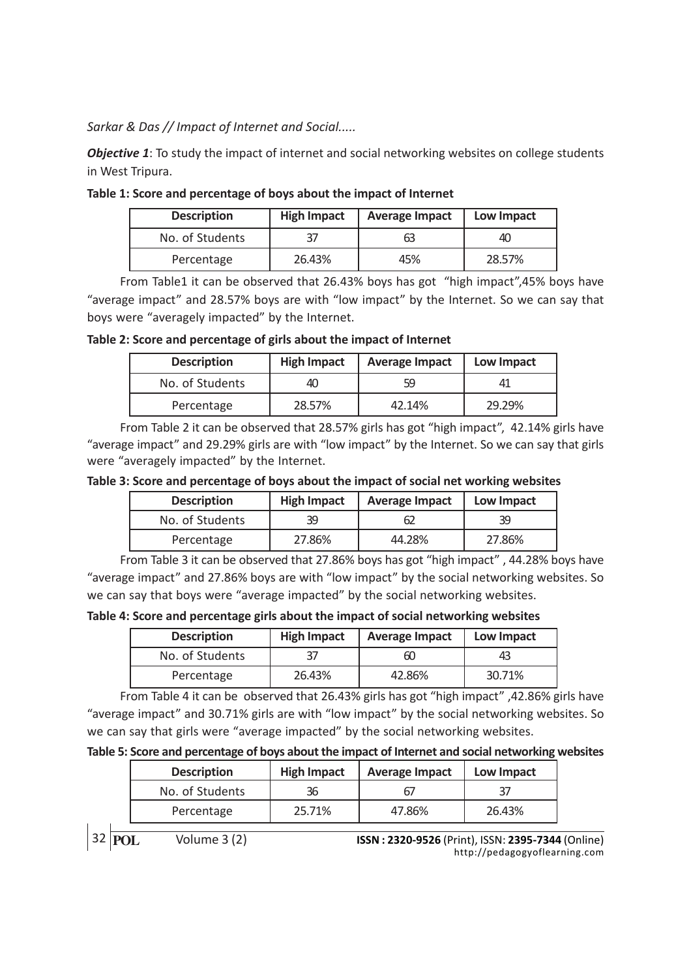**Objective 1**: To study the impact of internet and social networking websites on college students in West Tripura.

| <b>Description</b> | <b>High Impact</b> | <b>Average Impact</b> | Low Impact |
|--------------------|--------------------|-----------------------|------------|
| No. of Students    | 37                 |                       | 40         |
| Percentage         | 26.43%             | 45%                   | 28.57%     |

Table 1: Score and percentage of boys about the impact of Internet

From Table1 it can be observed that 26.43% boys has got "high impact",45% boys have "average impact" and 28.57% boys are with "low impact" by the Internet. So we can say that boys were "averagely impacted" by the Internet.

Table 2: Score and percentage of girls about the impact of Internet

| <b>Description</b> | <b>High Impact</b> | <b>Average Impact</b> | Low Impact |
|--------------------|--------------------|-----------------------|------------|
| No. of Students    | 40                 | 59                    |            |
| Percentage         | 28.57%             | 42.14%                | 29.29%     |

From Table 2 it can be observed that 28.57% girls has got "high impact", 42.14% girls have "average impact" and 29.29% girls are with "low impact" by the Internet. So we can say that girls were "averagely impacted" by the Internet.

Table 3: Score and percentage of boys about the impact of social net working websites

| <b>Description</b> | <b>High Impact</b> | <b>Average Impact</b> | Low Impact |
|--------------------|--------------------|-----------------------|------------|
| No. of Students    | 39                 | 62                    | 39         |
| Percentage         | 27.86%             | 44.28%                | ?7.86%     |

From Table 3 it can be observed that 27.86% boys has got "high impact" , 44.28% boys have "average impact" and 27.86% boys are with "low impact" by the social networking websites. So we can say that boys were "average impacted" by the social networking websites.

Table 4: Score and percentage girls about the impact of social networking websites

| <b>Description</b> | <b>High Impact</b> | <b>Average Impact</b> | Low Impact |
|--------------------|--------------------|-----------------------|------------|
| No. of Students    |                    | 60                    | 43         |
| Percentage         | 26.43%             | 42.86%                | 30.71%     |

From Table 4 it can be observed that 26.43% girls has got "high impact" ,42.86% girls have "average impact" and 30.71% girls are with "low impact" by the social networking websites. So we can say that girls were "average impacted" by the social networking websites.

#### Table 5: Score and percentage of boys about the impact of Internet and social networking websites

| <b>Description</b> | <b>High Impact</b> | <b>Average Impact</b> | Low Impact |
|--------------------|--------------------|-----------------------|------------|
| No. of Students    | 36                 | 67                    |            |
| Percentage         | 25.71%             | 47.86%                | 26.43%     |

32 **POL**

Volume 3 (2) ISSN : 2320-9526 (Print), ISSN: 2395-7344 (Online) http://pedagogyoflearning.com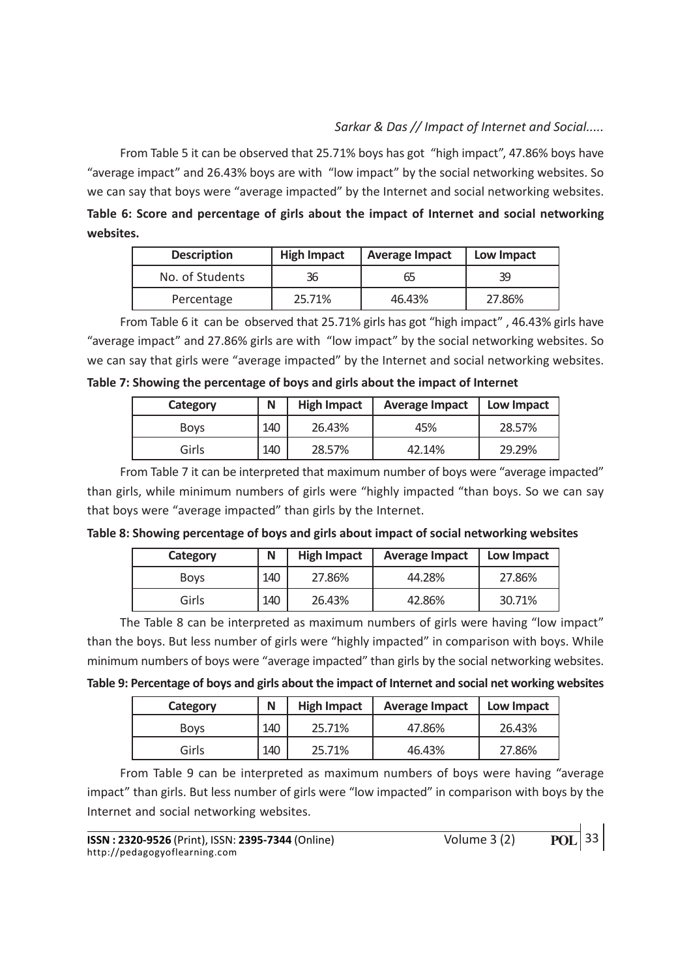From Table 5 it can be observed that 25.71% boys has got "high impact", 47.86% boys have "average impact" and 26.43% boys are with "low impact" by the social networking websites. So we can say that boys were "average impacted" by the Internet and social networking websites. Table 6: Score and percentage of girls about the impact of Internet and social networking websites.

| <b>Description</b> | <b>High Impact</b> | <b>Average Impact</b> | Low Impact |
|--------------------|--------------------|-----------------------|------------|
| No. of Students    | 36                 | 65                    | 39         |
| Percentage         | 25.71%             | 46.43%                | 27.86%     |

From Table 6 it can be observed that 25.71% girls has got "high impact" , 46.43% girls have "average impact" and 27.86% girls are with "low impact" by the social networking websites. So we can say that girls were "average impacted" by the Internet and social networking websites.

Table 7: Showing the percentage of boys and girls about the impact of Internet

| Category    | N   | <b>High Impact</b> | <b>Average Impact</b> | Low Impact |
|-------------|-----|--------------------|-----------------------|------------|
| <b>Boys</b> | 140 | 26.43%             | 45%                   | 28.57%     |
| Girls       | 140 | 28.57%             | 42.14%                | 29.29%     |

From Table 7 it can be interpreted that maximum number of boys were "average impacted" than girls, while minimum numbers of girls were "highly impacted "than boys. So we can say that boys were "average impacted" than girls by the Internet.

Table 8: Showing percentage of boys and girls about impact of social networking websites

| Category    | N   | <b>High Impact</b> | <b>Average Impact</b> | Low Impact |
|-------------|-----|--------------------|-----------------------|------------|
| <b>Boys</b> | 140 | 27.86%             | 44.28%                | 27.86%     |
| Girls       | 140 | 26.43%             | 42.86%                | 30.71%     |

The Table 8 can be interpreted as maximum numbers of girls were having "low impact" than the boys. But less number of girls were "highly impacted" in comparison with boys. While minimum numbers of boys were "average impacted" than girls by the social networking websites.

| Table 9: Percentage of boys and girls about the impact of Internet and social net working websites |  |
|----------------------------------------------------------------------------------------------------|--|
|----------------------------------------------------------------------------------------------------|--|

| Category    | N   | <b>High Impact</b> | <b>Average Impact</b> | Low Impact |
|-------------|-----|--------------------|-----------------------|------------|
| <b>Boys</b> | 140 | 25.71%             | 47.86%                | 26.43%     |
| Girls       | 140 | 25.71%             | 46.43%                | 27.86%     |

From Table 9 can be interpreted as maximum numbers of boys were having "average impact" than girls. But less number of girls were "low impacted" in comparison with boys by the Internet and social networking websites.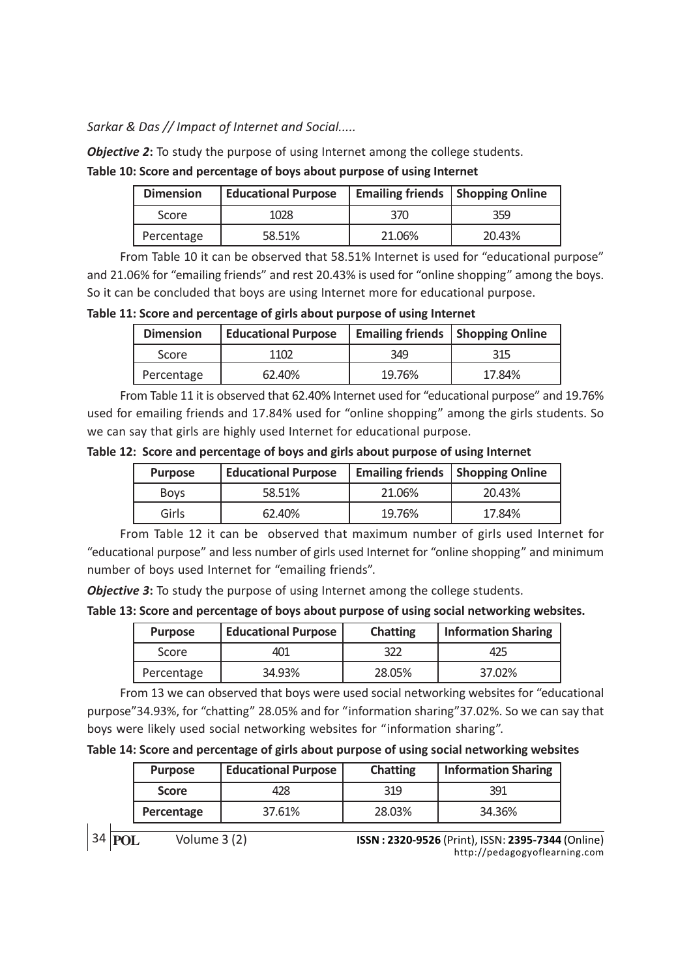**Objective 2:** To study the purpose of using Internet among the college students.

Table 10: Score and percentage of boys about purpose of using Internet

| <b>Dimension</b> | <b>Educational Purpose</b> |        | <b>Emailing friends   Shopping Online</b> |
|------------------|----------------------------|--------|-------------------------------------------|
| Score            | 1028                       | 370    | 359                                       |
| Percentage       | 58.51%                     | 21.06% | 20.43%                                    |

From Table 10 it can be observed that 58.51% Internet is used for "educational purpose" and 21.06% for "emailing friends" and rest 20.43% is used for "online shopping" among the boys. So it can be concluded that boys are using Internet more for educational purpose.

Table 11: Score and percentage of girls about purpose of using Internet

| <b>Dimension</b> | <b>Educational Purpose</b> | <b>Emailing friends</b> | <b>Shopping Online</b> |
|------------------|----------------------------|-------------------------|------------------------|
| Score            | 1102                       | 349                     | 315                    |
| Percentage       | 62.40%                     | 19.76%                  | 17.84%                 |

From Table 11 it is observed that 62.40% Internet used for "educational purpose" and 19.76% used for emailing friends and 17.84% used for "online shopping" among the girls students. So we can say that girls are highly used Internet for educational purpose.

Table 12: Score and percentage of boys and girls about purpose of using Internet

| <b>Purpose</b> | <b>Educational Purpose</b> | <b>Emailing friends</b> | <b>Shopping Online</b> |
|----------------|----------------------------|-------------------------|------------------------|
| <b>Boys</b>    | 58.51%                     | 21.06%                  | 20.43%                 |
| Girls          | 62.40%                     | 19.76%                  | 17.84%                 |

From Table 12 it can be observed that maximum number of girls used Internet for "educational purpose" and less number of girls used Internet for "online shopping" and minimum number of boys used Internet for "emailing friends".

**Objective 3:** To study the purpose of using Internet among the college students.

Table 13: Score and percentage of boys about purpose of using social networking websites.

| <b>Purpose</b> | <b>Educational Purpose</b> | <b>Chatting</b> | <b>Information Sharing</b> |  |
|----------------|----------------------------|-----------------|----------------------------|--|
| Score          | 401                        | 322             | 425                        |  |
| Percentage     | 34.93%                     | 28.05%          | 37.02%                     |  |

From 13 we can observed that boys were used social networking websites for "educational purpose"34.93%, for "chatting" 28.05% and for "information sharing"37.02%. So we can say that boys were likely used social networking websites for "information sharing".

Table 14: Score and percentage of girls about purpose of using social networking websites

| <b>Purpose</b> | <b>Educational Purpose</b> | <b>Chatting</b> | <b>Information Sharing</b> |  |
|----------------|----------------------------|-----------------|----------------------------|--|
| <b>Score</b>   | 428                        | 319             | 391                        |  |
| Percentage     | 37.61%                     | 28.03%          | 34.36%                     |  |

```
34 POL
```
Volume 3 (2) ISSN : 2320-9526 (Print), ISSN: 2395-7344 (Online) http://pedagogyoflearning.com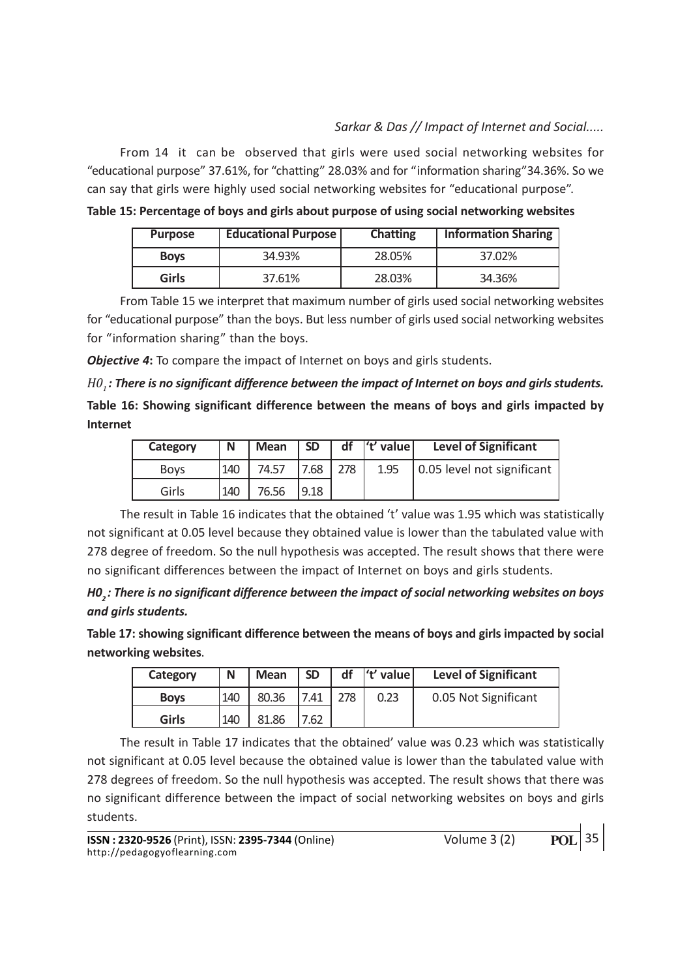From 14 it can be observed that girls were used social networking websites for "educational purpose" 37.61%, for "chatting" 28.03% and for "information sharing"34.36%. So we can say that girls were highly used social networking websites for "educational purpose".

Table 15: Percentage of boys and girls about purpose of using social networking websites

| <b>Purpose</b> | <b>Educational Purpose</b> | <b>Chatting</b> | <b>Information Sharing</b> |
|----------------|----------------------------|-----------------|----------------------------|
| <b>Boys</b>    | 34.93%                     | 28.05%          | 37.02%                     |
| Girls          | 37.61%                     | 28.03%          | 34.36%                     |

From Table 15 we interpret that maximum number of girls used social networking websites for "educational purpose" than the boys. But less number of girls used social networking websites for "information sharing" than the boys.

**Objective 4:** To compare the impact of Internet on boys and girls students.

 $HO_i$ : There is no significant difference between the impact of Internet on boys and girls students. Table 16: Showing significant difference between the means of boys and girls impacted by Internet

| Category    | N   | <b>Mean</b> | <b>SD</b> | df  | $'t'$ value | <b>Level of Significant</b> |
|-------------|-----|-------------|-----------|-----|-------------|-----------------------------|
| <b>Boys</b> | 140 | 74.57       | 7.68      | 278 | 1.95        | 0.05 level not significant  |
| Girls       | 140 | 76.56       | 9.18      |     |             |                             |

The result in Table 16 indicates that the obtained 't' value was 1.95 which was statistically not significant at 0.05 level because they obtained value is lower than the tabulated value with 278 degree of freedom. So the null hypothesis was accepted. The result shows that there were no significant differences between the impact of Internet on boys and girls students.

H0<sub>2</sub>: There is no significant difference between the impact of social networking websites on boys and girls students.

Table 17: showing significant difference between the means of boys and girls impacted by social networking websites.

| Category    | N   | <b>Mean</b> | <b>SD</b> | df  | $ $ 't' value | <b>Level of Significant</b> |
|-------------|-----|-------------|-----------|-----|---------------|-----------------------------|
| <b>Boys</b> | 140 | 80.36       | 7.41      | 278 | 0.23          | 0.05 Not Significant        |
| Girls       | 140 | 81.86       | 7.62      |     |               |                             |

The result in Table 17 indicates that the obtained' value was 0.23 which was statistically not significant at 0.05 level because the obtained value is lower than the tabulated value with 278 degrees of freedom. So the null hypothesis was accepted. The result shows that there was no significant difference between the impact of social networking websites on boys and girls students.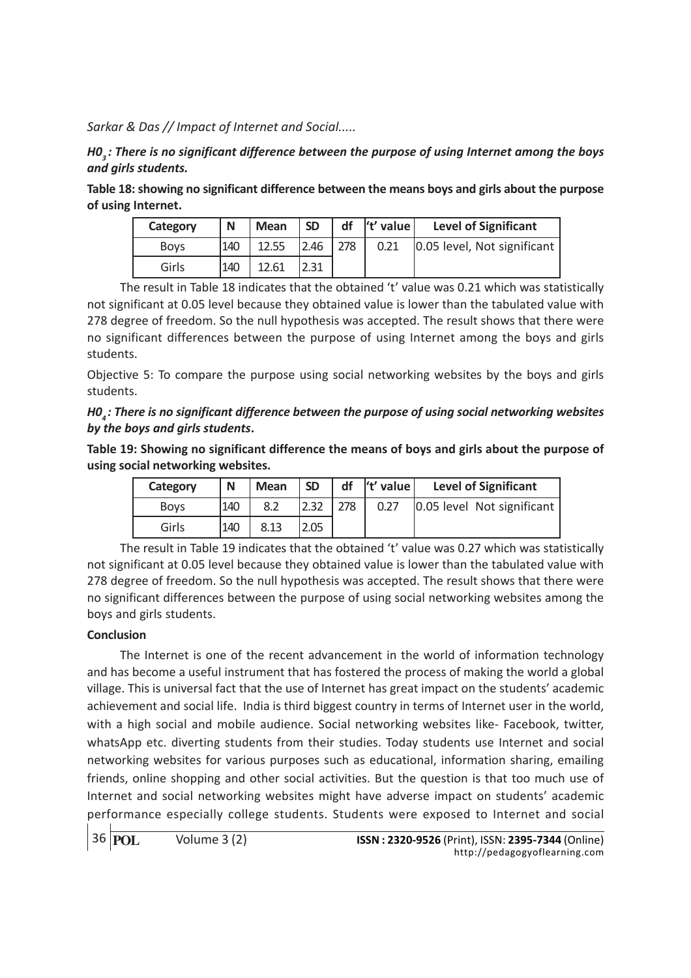H0<sub>3</sub>: There is no significant difference between the purpose of using Internet among the boys and girls students.

Table 18: showing no significant difference between the means boys and girls about the purpose of using Internet.

| Category    | $\mathbf N$ | Mean  | <b>SD</b> |     | $df$ $'t'$ value | <b>Level of Significant</b> |
|-------------|-------------|-------|-----------|-----|------------------|-----------------------------|
| <b>Boys</b> | 140         | 12.55 | 2.46      | 278 | 0.21             | 0.05 level, Not significant |
| Girls       | 140         | 12.61 |           |     |                  |                             |

The result in Table 18 indicates that the obtained 't' value was 0.21 which was statistically not significant at 0.05 level because they obtained value is lower than the tabulated value with 278 degree of freedom. So the null hypothesis was accepted. The result shows that there were no significant differences between the purpose of using Internet among the boys and girls students.

Objective 5: To compare the purpose using social networking websites by the boys and girls students.

HO<sub> $4$ </sub>: There is no significant difference between the purpose of using social networking websites by the boys and girls students.

Table 19: Showing no significant difference the means of boys and girls about the purpose of using social networking websites.

| Category    | N   | <b>Mean</b> | <b>SD</b> | df  | $'t'$ value | <b>Level of Significant</b> |
|-------------|-----|-------------|-----------|-----|-------------|-----------------------------|
| <b>Boys</b> | 140 | 8.2         | 2.32      | 278 | 0.27        | 0.05 level Not significant  |
| Girls       | 140 | 8.13        | 2.05      |     |             |                             |

The result in Table 19 indicates that the obtained 't' value was 0.27 which was statistically not significant at 0.05 level because they obtained value is lower than the tabulated value with 278 degree of freedom. So the null hypothesis was accepted. The result shows that there were no significant differences between the purpose of using social networking websites among the boys and girls students.

## Conclusion

The Internet is one of the recent advancement in the world of information technology and has become a useful instrument that has fostered the process of making the world a global village. This is universal fact that the use of Internet has great impact on the students' academic achievement and social life. India is third biggest country in terms of Internet user in the world, with a high social and mobile audience. Social networking websites like- Facebook, twitter, whatsApp etc. diverting students from their studies. Today students use Internet and social networking websites for various purposes such as educational, information sharing, emailing friends, online shopping and other social activities. But the question is that too much use of Internet and social networking websites might have adverse impact on students' academic performance especially college students. Students were exposed to Internet and social

36 **POL**